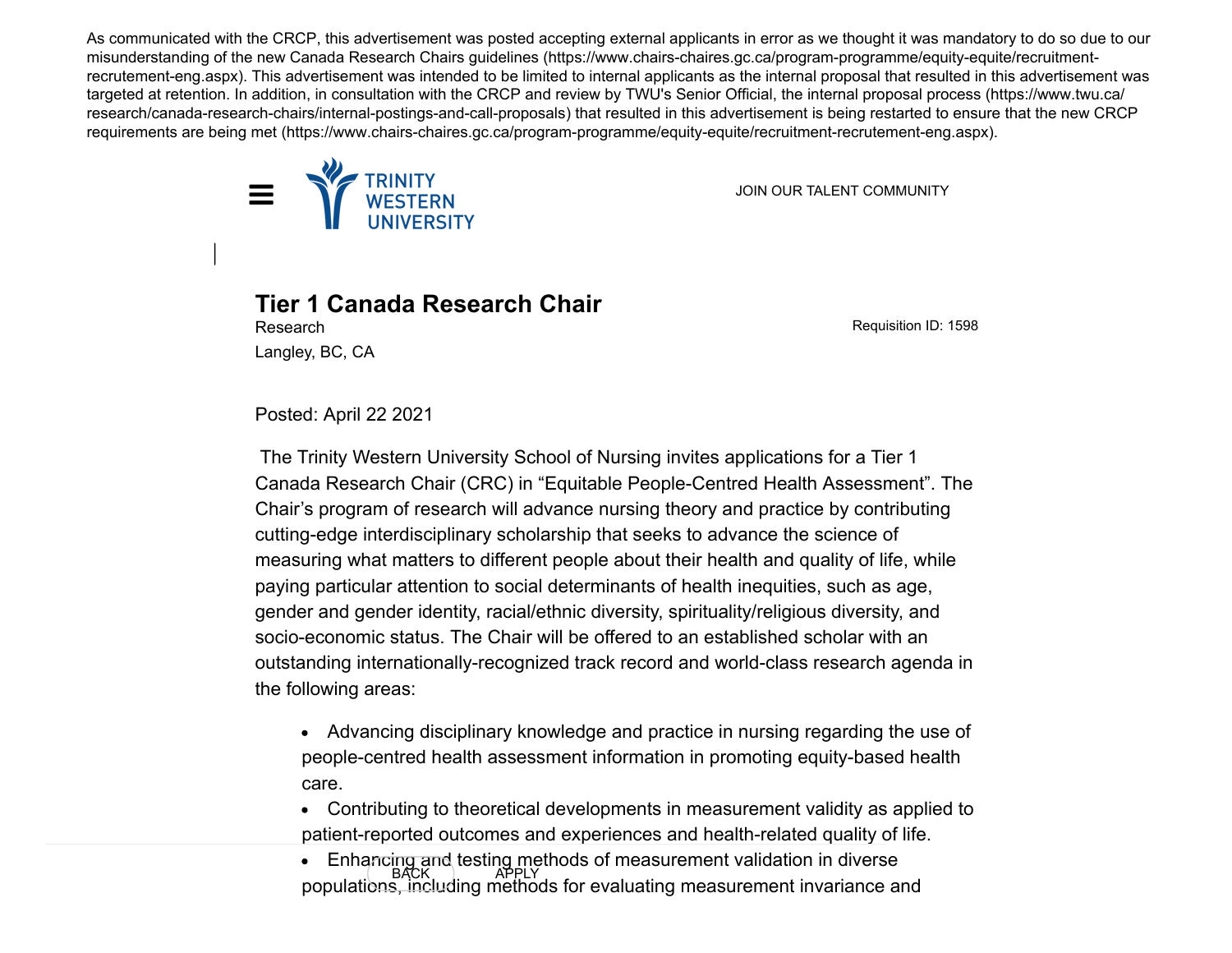As communicated with the CRCP, this advertisement was posted accepting external applicants in error as we thought it was mandatory to do so due to our misunderstanding of the new Canada Research Chairs guidelines (https://www.chairs-chaires.gc.ca/program-programme/equity-equite/recruitmentrecrutement-eng.aspx). This advertisement was intended to be limited to internal applicants as the internal proposal that resulted in this advertisement was targeted at retention. In addition, in consultation with the CRCP and review by TWU's Senior Official, the internal proposal process (https://www.twu.ca/ research/canada-research-chairs/internal-postings-and-call-proposals) that resulted in this advertisement is being restarted to ensure that the new CRCP requirements are being met (https://www.chairs-chaires.gc.ca/program-programme/equity-equite/recruitment-recrutement-eng.aspx).



**Tier 1 Canada Research Chair**

Requisition ID: 1598

Langley, BC, CA

Research

Posted: April 22 2021

 The Trinity Western University School of Nursing invites applications for a Tier 1 Canada Research Chair (CRC) in "Equitable People-Centred Health Assessment". The Chair's program of research will advance nursing theory and practice by contributing cutting-edge interdisciplinary scholarship that seeks to advance the science of measuring what matters to different people about their health and quality of life, while paying particular attention to social determinants of health inequities, such as age, gender and gender identity, racial/ethnic diversity, spirituality/religious diversity, and socio-economic status. The Chair will be offered to an established scholar with an outstanding internationally-recognized track record and world-class research agenda in the following areas:

Advancing disciplinary knowledge and practice in nursing regarding the use of people-centred health assessment information in promoting equity-based health care.

Contributing to theoretical developments in measurement validity as applied to patient-reported outcomes and experiences and health-related quality of life.

Enhancing and testing methods of measurement validation in diverse<br>BACK APPLY populations, including methods for evaluating measurement invariance and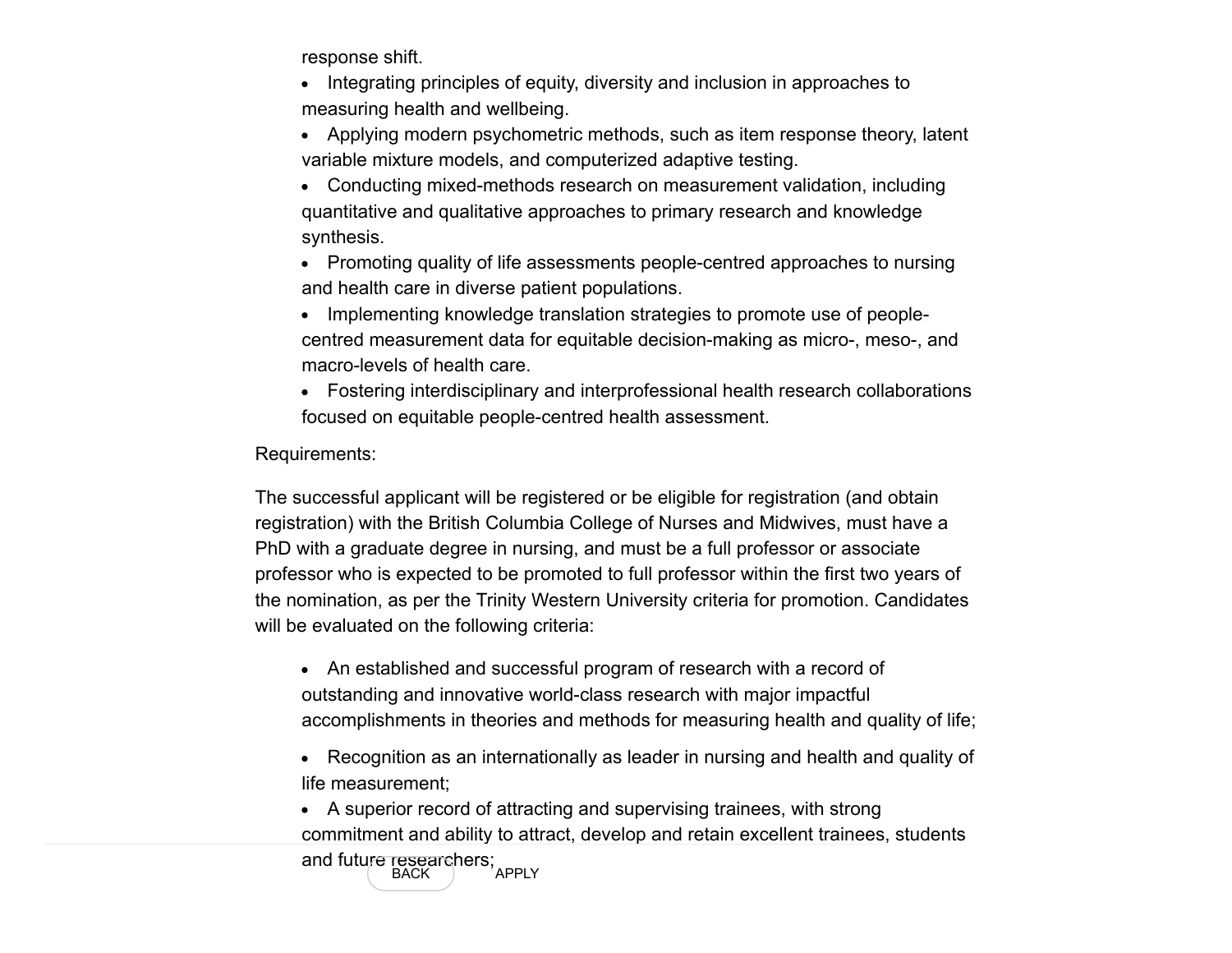response shift.

• Integrating principles of equity, diversity and inclusion in approaches to measuring health and wellbeing.

Applying modern psychometric methods, such as item response theory, latent variable mixture models, and computerized adaptive testing.

Conducting mixed-methods research on measurement validation, including quantitative and qualitative approaches to primary research and knowledge synthesis.

• Promoting quality of life assessments people-centred approaches to nursing and health care in diverse patient populations.

Implementing knowledge translation strategies to promote use of peoplecentred measurement data for equitable decision-making as micro-, meso-, and macro-levels of health care.

Fostering interdisciplinary and interprofessional health research collaborations focused on equitable people-centred health assessment.

Requirements:

The successful applicant will be registered or be eligible for registration (and obtain registration) with the British Columbia College of Nurses and Midwives, must have a PhD with a graduate degree in nursing, and must be a full professor or associate professor who is expected to be promoted to full professor within the first two years of the nomination, as per the Trinity Western University criteria for promotion. Candidates will be evaluated on the following criteria:

• An established and successful program of research with a record of outstanding and innovative world-class research with major impactful accomplishments in theories and methods for measuring health and quality of life;

Recognition as an internationally as leader in nursing and health and quality of life measurement;

A superior record of attracting and supervising trainees, with strong commitment and ability to attract, develop and retain excellent trainees, students and future researchers;<br>BACK APPLY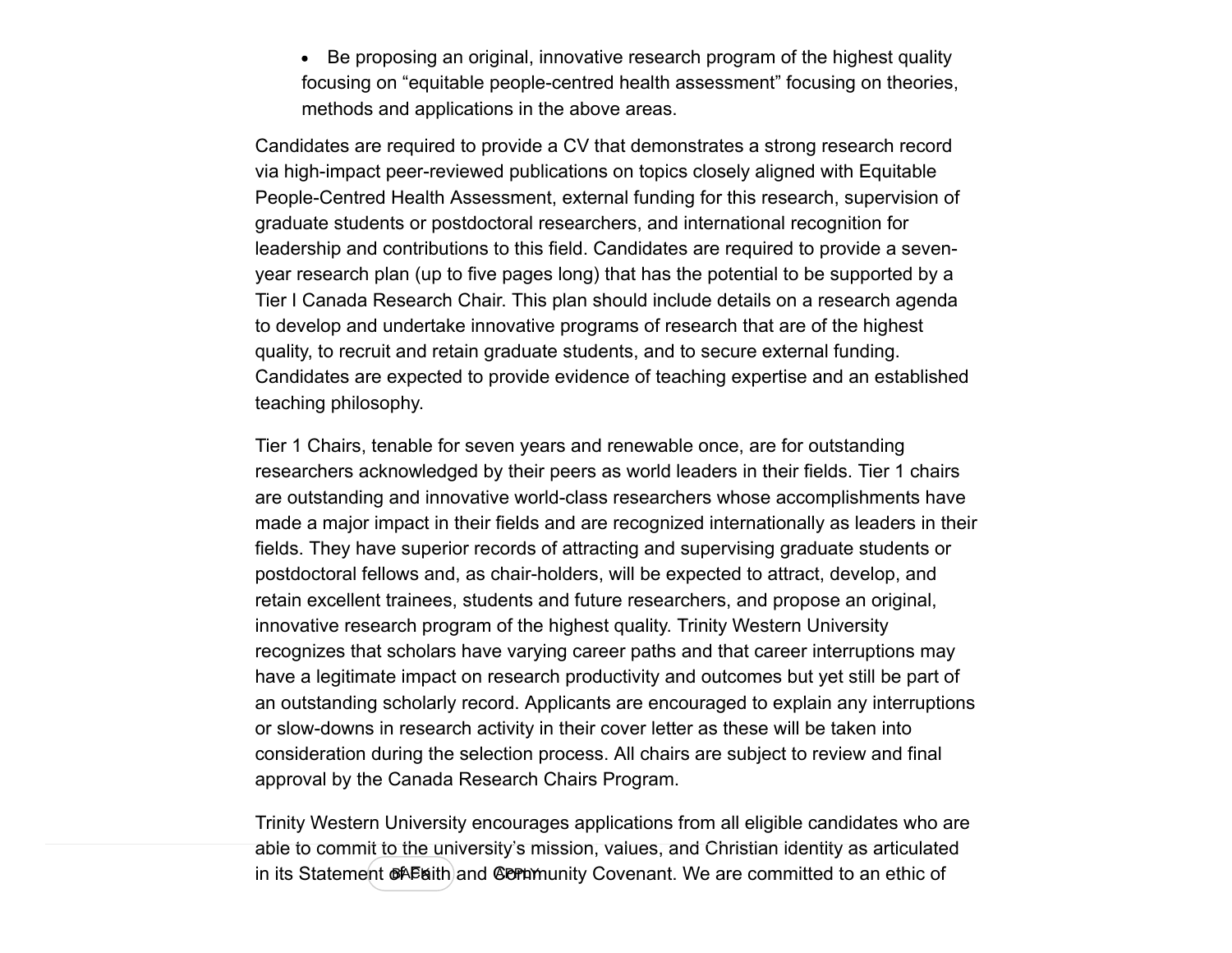• Be proposing an original, innovative research program of the highest quality focusing on "equitable people-centred health assessment" focusing on theories, methods and applications in the above areas.

Candidates are required to provide a CV that demonstrates a strong research record via high-impact peer-reviewed publications on topics closely aligned with Equitable People-Centred Health Assessment, external funding for this research, supervision of graduate students or postdoctoral researchers, and international recognition for leadership and contributions to this field. Candidates are required to provide a sevenyear research plan (up to five pages long) that has the potential to be supported by a Tier I Canada Research Chair. This plan should include details on a research agenda to develop and undertake innovative programs of research that are of the highest quality, to recruit and retain graduate students, and to secure external funding. Candidates are expected to provide evidence of teaching expertise and an established teaching philosophy.

Tier 1 Chairs, tenable for seven years and renewable once, are for outstanding researchers acknowledged by their peers as world leaders in their fields. Tier 1 chairs are outstanding and innovative world-class researchers whose accomplishments have made a major impact in their fields and are recognized internationally as leaders in their fields. They have superior records of attracting and supervising graduate students or postdoctoral fellows and, as chair-holders, will be expected to attract, develop, and retain excellent trainees, students and future researchers, and propose an original, innovative research program of the highest quality. Trinity Western University recognizes that scholars have varying career paths and that career interruptions may have a legitimate impact on research productivity and outcomes but yet still be part of an outstanding scholarly record. Applicants are encouraged to explain any interruptions or slow-downs in research activity in their cover letter as these will be taken into consideration during the selection process. All chairs are subject to review and final approval by the Canada Research Chairs Program.

Trinity Western University encourages applications from all eligible candidates who are able to commit to the university's mission, values, and Christian identity as articulated in its Statement Of Faith and CO minuty Covenant. We are committed to an ethic of